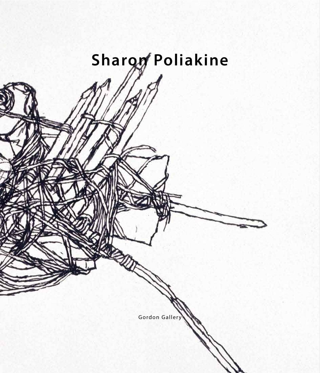# Sharon Poliakine

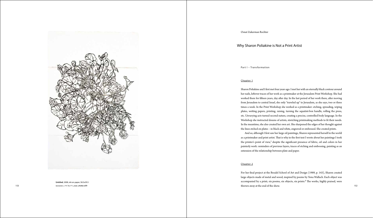#### Part I – Transformation

### Chapter 1

Sharon Poliakine and I first met four years ago. I met her with an eternally black contour around her nails, leftover traces of her work as a printmaker at the Jerusalem Print Workshop. She had worked there for fifteen years, day after day. In the last period of her work there, after moving from Jerusalem to central Israel, she only "traveled up" to Jerusalem, as she says, two or three times a week. In the Print Workshop she worked as a printmaker: etching, spreading, wiping plates, we ting papers, printing, raising, turning the aquatint -box handle, rolling the press, etc. Unvarying acts turned second nature, creating a precise, controlled body language. In the Workshop she instructed dozens of artists, stretching printmaking methods to f t their needs. In the meantime, she also created her own art. She sharpened the edges of her thought against the lines etched on plates – in black and white, engraved or embossed. She created prints . And so, although I first saw her large oil paintings, Sharon represented herself in the world as a printmaker and print artist. That is why in the first text I wrote about her paintings I took the printer's point of view,<sup>1</sup> despite the significant presence of fabric, oil and colors in her

For her fnal project at the Bezalel School of Art and Design (1989, p. 143), Sharon created large objects made of metal and wood, inspired by poems by Yona Wallach. Each object was accompanied by a print; six poems, six objects, six prints.<sup>2</sup> The works, highly praised, were ללא כותרת, 2008, דיו על נייר, 39.5 $t$ hrown away at the end of the show. ללא כותרת, 2008, דיו על נייר, 39.5 $t$ 

painterly work: reminders of previous layers, traces of etching and embossing, painting as an extension of the relationship between plate and paper.

#### <u>Chapter 2</u>



**Untitled**, 2008, ink on paper, 58.5x39.5 153 58.5

# Why Sharon Poliakine is Not a Print Artist

Osnat Zukerman Rechter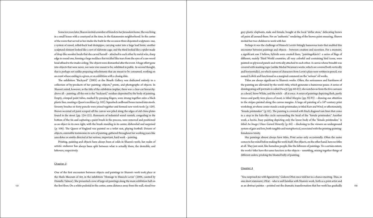Some tenyearslater, Sharoninvited anumberoffriendstoherJerusalemhome. Shewasliving in a small house with a courtyard at the time, in the Katamonim neighborhood. In the center of the room that served as her studio she built for the occasion three disjointed sculptures: one, a system of raised, rolled-back lead drainpipes, carrying water into <sup>a</sup> large lead basin; another sculptural element looked like a sort of elaborate cage; and the third looked like a spider made of drop -like wooden beads that she carved herself – a tached to each other by metal wire, sharp edge to round one, forming a large necklace that trickled like tears from the eyes of a raw -wood head affixed to the studio ceiling. The objects were dismantled after the event. A huge effort gone into objects that were never, nor were ever meant to be, exhibited in public. In second thought, that is perhaps not unlike preparing refreshments that are meant to be consumed, working on an event whose ending is a given, or an exhibition with a closing date .

Printing, painting and objects have always been at odds in Sharon ' s work; her realm of artistic endeavor has always been split between what is actually there, the desirable, and leftovers, respectively.

#### <u>Chapter 3</u>

One of the frst encounters between objects and paintings in Sharon ' s work took place at the Haifa Museum of Art, in the exhibition "Homage to Hanoch Levin" (2004, curated by Daniella Talmor). She presented a row of large oil paintings along the main exhibition hall on

T e exhibition "Backyard" (2003) at the Bineth Gallery was dedicated entirely to a collection of by -products of her painting: objects , **<sup>3</sup>** prints, and photographs of objects. In Sharon ' s mind, however, as the title of the exhibition implies, there was a clear -cut hierarchy: above all – painting; all the rest is the "backyard," residues deposited by the body of painting. Empty, crimped paint tubes, marked by pressing fngers, were strung together onto a black plastic line, creating a*Queen* ' s necklace (p. 105). Squashed cardboard boxesturned into stools. Seventy brushes or forty pencils were joined together and formed new work tools (p. 129). Brown secreted oil paint scraped off the canvas was piled along the edges of old china plates found in the street (pp. 124-125). Remnants of industrial wood varnish, congealing in the bo tom of the tin and capturing a paint brush in the process, were removed and positioned as an object in its own right, with the brush standing in its center, disheveled and surprised (p. 108). T e Queen of England was painted on a toilet seat, playing football. Dozens of objects, ostensible testimonies to acts of painting, gathered throughout her working years like anecdotes or smirks directed at her serious, important, hard work – painting .

the first floor. On a white pedestal in the center, some distance away from the wall, stood two as an abstract painter – pointed out the dramatic transformation that her work has gradually 150 as an abstract painter – poin "You surprised me with figurativity," Gideon Ofrat once told her in a chance meeting. Thus, in one short statement, Ofrat – who is well familiar with Sharon ' s work, both as a print artist and

grey plastic elephants, male and female, bought at the local "dollar store," defecating brown oil paint all around them. For an "authentic" rendering of the brown paint smearing, Sharon invited her two children to work with her .

Perhaps it was the challenge of Hanoch Levin ' s bitingly humorous texts that enabled this encounter between paintings and objects – between creation and secretion. For a moment, a signi fcant one I believe, hybrids were created there, "paintingobjects": a series of fags of di ferent , mainly Tird World countries, all very colorful and containing bird icons, were painted on plywood panels and vertically a tached to each other. A canvas whose breadth was covered with masking -tape (unlike Michal Na 'aman ' s works, which are covered both vertically and horizontally), on which names of characters from Levin's plays were written in pencil, was named *Leibele* and functioned as a marginal comment on the "serious" oil works.

Titles are always signi fcant in Sharon ' s works. O fen, the seriousness and harshness of the painting are alleviated by the work ' s title, which generates a humorous pause. A series of disintegrating self-portraits is called *Dwarfs* (pp. 60-63); she watches us from the five canvases as a dwarf, Snow White, and the witch – all at once. A series of paintings depicting fesh, partly torsos and partly torn pieces of meat, is titled *Margins* (pp. 92-93) – drawing our attention to the stripes painted along the canvas margins. A large oil painting of a  $16^{\text{th}}$ -century print workshop, at whose center stands a male printmaker, is titled *Rain and Wind,* or affectionately, "female printmaker" (p. 65). T e painting is covered with black diagonal rain lines that come to a stop in the halo -like circle surrounding the head of the "female printmaker." Another work, a hectic, busy painting depicting only the lower body of the "female printmaker," is titled *An Image I Have Gained Honestly* (p. 64) – disclosing to the viewers an underground system of gain and loss, both tangible and metaphorical, associated with the printing-paintingfemaleness trinity.

Her paintings almost always have titles. Print series only occasionally. O fen the name comesto her mind before making thework itself. Her objects, on the other hand, have no titles at all. They just exist, like homeless people, like the leftovers of paintings. To a certain extent, the works' titles have the same function as the objects – unse tling, mixing together things of di ferent orders, pricking the bloated belly of painting .

# Chapter 4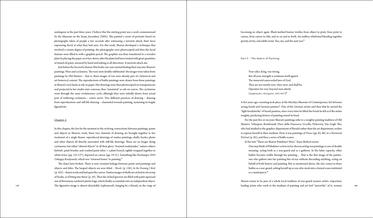undergone in the past three years. I believe that the starting point was a work commissioned by the Museum on the Seam, Jerusalem (2005). She painted a series of portraits based on photographs taken of people a few seconds a fer witnessing a terrorist a tack, their faces expressing shock at what they had seen. For this work, Sharon developed a technique that involved a certain degree of printing: the photographs were photocopied and then the facial features were flled in with a graphite pencil. T e graphite was then transferred to a wooden plate by placing the paper on it face down, after the plate had been treated with great quantities of mixed oil paint, smeared by hand and lashing in all directions. A terrorist a tack site .

Just before the Second Lebanon War broke out, wars started finding their way into Sharon's paintings. Wars and cyclamens. The wars were doubly sublimated: the images were taken from paintings by Old Masters – that is, these images of war were already part of a historical and art -historical context. T e reproductions of ba tle paintings were drawn from those paintings in Sharon ' s own hand, in ink on paper. Her drawingswere then photocopied on transparencies and projected in her studio onto canvases, thus "reinstated" as oils on canvas. The cyclamens went through the same evolutionary cycle, although they were initially drawn from actual pots of withering cyclamens – *nature morte*. Two di ferent practices of drawing – drawing from reproductions and still -life drawing – channeled towards painting, sustaining its fragile fgurativity.

#### Chapter 5

For the past fve or six years Sharon's paintings refer to a weighty painting tradition of Old Masters: Velásquez, Rembrandt, Piero della Francesca, Uccello, Delacroix, Van Gogh. She, who had studied in the graphics department of Bezalel rather than the art department, wishes to express herself in their medium. First, it was paintings of *Venus* (pp. 82, 88) or a *Nocturnal*  Portrait (p. 83), and then a series of battle scenes.

In this chapter, the last for the moment in the evolving connections between paintings, prints and objects in Sharon ' s work, these two channels of drawing are brought together in her treatment of a single theme: reproduced drawings of vanitas paintings, skulls, books, plants and other objects all directly associated with still-life drawings. These are no longer dying cyclamens, but rather "altered objects" in all their glory. "Assisted readymades," nature+object hybrids: paint brushes and crushed paint tubes + a plant branch, tightly wrapped together in white twine (pp. 132-137), depicted on canvas (pp. 19-21). Something like Duchamp ' s 1919 *Unhappy Readymade*, which was "returned home" to painting . **4**

The dams have broken. There is now constant leakage between prints and paintings and objects and titles. T e heaped objects are now titled – *Nicole* (p. 126), *In the Evening I Knit*  $(p. 103)$  – drawn in ink and laid upon the canvas. Vanitas images of skulls are etched in oil on top of books, as if biting into them (p. 34). Then the etched grooves are filled with paint squeezed out of throwaway sandwich plastic bags, which fnally accumulate into an independent object. 149 149 The figurative image is almost detachable (ephemeral), hanging by a thread, on the verge of leading artists who work in the medium of painting and yet feel "unworthy" of it; women 148

One may think of Poliakine's action in her disconcerting war paintings as one of double meaning: acting both as a rear -guard and as a gatherer. In the la ter capacity, other ba tles become visible through her painting… Tat is the frst image of the painter: one who gathers into her painting bits of war without discarding anything, acting on behalf of both history and painting. But as mentioned above, she also comes to these ba tles as a rear -guard, se ting herself up as onewho stealsinto a formalscene instituted as a masterpiece . **8**

becoming an object again. Black-teethed humor trickles from object to print, from print to canvas, from canvas to title, and so on and so forth. An endless whirlwind blending together gravity, levity, and subtle irony. You, me, and the next war. **5**

## Part II – The Hubris of Painting

- Your edict, King, was strong ,
- But all your strength is weakness itself against
- The immortal unrecorded laws of God.
- They are not merely now: they were, and shall be,
- Operative for ever, beyond man utterly.
- (Sophocles, Antigone, 453-457 ) **6**

A few years ago a meeting took place at the Herzliya Museum of Contemporary Art between young Israeli and German painters **7** . One of the German artists said then that he envied the "light brushstroke" of Israeli painters, since every time he li fed the brush he felt asif the entire weighty, paralyzing history of painting reared its head.

In her text " Tese are Sharon Poliakine ' s Wars," Yaara Shehori wrote:

Sharon seems to be part of a whole local tradition of rear -guard women artists: important,